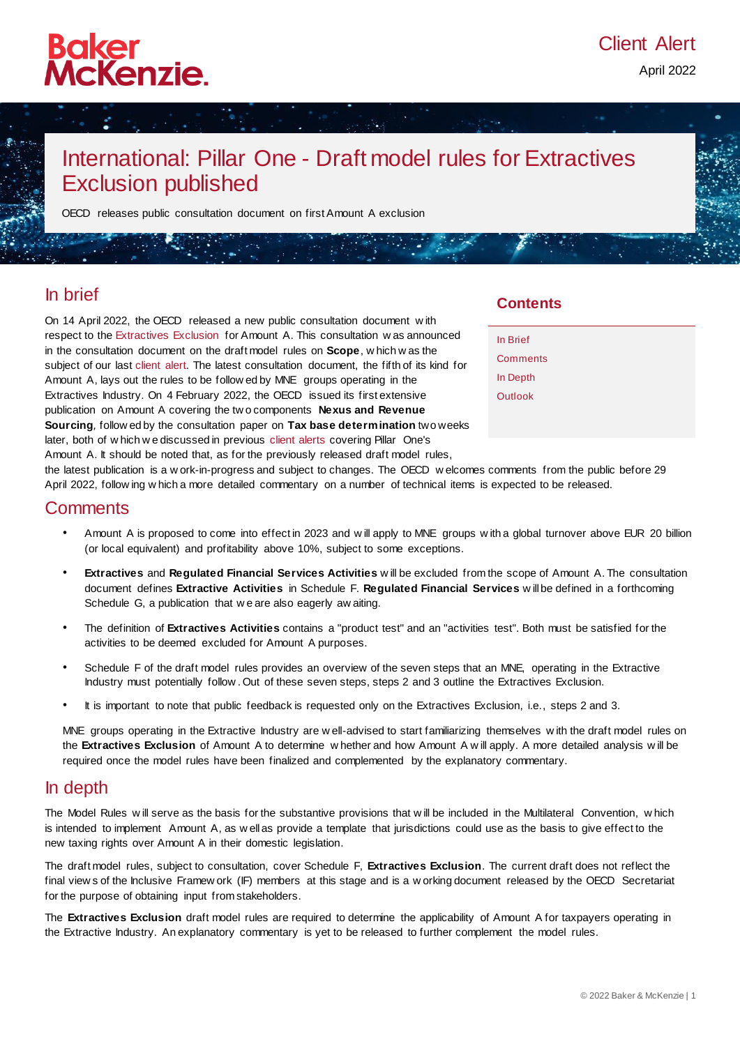# Baker<br>McKenzie.

## International: Pillar One - Draft model rules for Extractives Exclusion published

OECD releases public consultation document on first Amount A exclusion

## In brief

On 14 April 2022, the OECD released a new public consultation document w ith respect to the [Extractives Exclusion](https://www.oecd.org/tax/beps/public-consultation-document-pillar-one-amount-a-extractives-exclusion.pdf) for Amount A. This consultation w as announced in the consultation document on the draft model rules on **Scope**, w hich w as the subject of our last [client alert.](https://insightplus.bakermckenzie.com/bm/tax/international-pillar-one-draft-model-rules-for-domestic-legislation-on-scope-published) The latest consultation document, the fifth of its kind for Amount A, lays out the rules to be follow ed by MNE groups operating in the Extractives Industry. On 4 February 2022, the OECD issued its first extensive publication on Amount A covering the tw o components **Nexus and Revenue Sourcing***,* follow ed by the consultation paper on **Tax base determination** two weeks later, both of w hich w e discussed in previous [client alerts](https://insightplus.bakermckenzie.com/bm/tax/international-pillar-one-draft-model-rules-for-tax-base-determinations-published) covering Pillar One's Amount A. It should be noted that, as for the previously released draft model rules,

### **Contents**

| In Brief |  |
|----------|--|
| Comments |  |
| In Depth |  |
| Outlook  |  |
|          |  |

the latest publication is a w ork-in-progress and subject to changes. The OECD w elcomes comments from the public before 29 April 2022, follow ing w hich a more detailed commentary on a number of technical items is expected to be released.

## **Comments**

- Amount A is proposed to come into effect in 2023 and w ill apply to MNE groups w ith a global turnover above EUR 20 billion (or local equivalent) and profitability above 10%, subject to some exceptions.
- **Extractives** and **Regulated Financial Services Activities** w ill be excluded from the scope of Amount A. The consultation document defines **Extractive Activities** in Schedule F. **Regulated Financial Services** w ill be defined in a forthcoming Schedule G, a publication that we are also eagerly aw aiting.
- The definition of **Extractives Activities** contains a "product test" and an "activities test". Both must be satisfied for the activities to be deemed excluded for Amount A purposes.
- Schedule F of the draft model rules provides an overview of the seven steps that an MNE, operating in the Extractive Industry must potentially follow . Out of these seven steps, steps 2 and 3 outline the Extractives Exclusion.
- It is important to note that public feedback is requested only on the Extractives Exclusion, i.e., steps 2 and 3.

MNE groups operating in the Extractive Industry are w ell-advised to start familiarizing themselves with the draft model rules on the **Extractives Exclusion** of Amount A to determine w hether and how Amount A w ill apply. A more detailed analysis w ill be required once the model rules have been finalized and complemented by the explanatory commentary.

## In depth

The Model Rules w ill serve as the basis for the substantive provisions that w ill be included in the Multilateral Convention, w hich is intended to implement Amount A, as w ell as provide a template that jurisdictions could use as the basis to give effect to the new taxing rights over Amount A in their domestic legislation.

The draft model rules, subject to consultation, cover Schedule F, **Extractives Exclusion**. The current draft does not reflect the final view s of the Inclusive Framew ork (IF) members at this stage and is a w orking document released by the OECD Secretariat for the purpose of obtaining input from stakeholders.

The **Extractives Exclusion** draft model rules are required to determine the applicability of Amount A for taxpayers operating in the Extractive Industry. An explanatory commentary is yet to be released to further complement the model rules.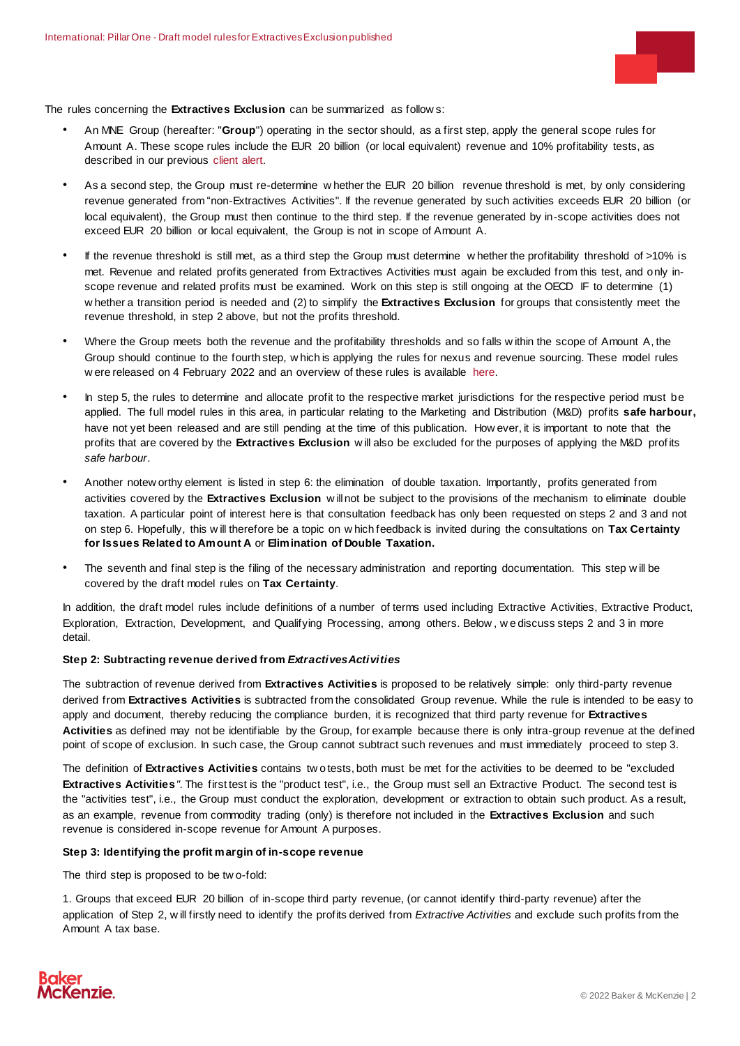

The rules concerning the **Extractives Exclusion** can be summarized as follow s:

- An MNE Group (hereafter: "**Group**") operating in the sector should, as a first step, apply the general scope rules for Amount A. These scope rules include the EUR 20 billion (or local equivalent) revenue and 10% profitability tests, as described in our previous [client alert.](https://insightplus.bakermckenzie.com/bm/tax/international-pillar-one-draft-model-rules-for-domestic-legislation-on-scope-published)
- As a second step, the Group must re-determine w hether the EUR 20 billion revenue threshold is met, by only considering revenue generated from "non-Extractives Activities". If the revenue generated by such activities exceeds EUR 20 billion (or local equivalent), the Group must then continue to the third step. If the revenue generated by in-scope activities does not exceed EUR 20 billion or local equivalent, the Group is not in scope of Amount A.
- If the revenue threshold is still met, as a third step the Group must determine w hether the profitability threshold of >10% is met. Revenue and related profits generated from Extractives Activities must again be excluded from this test, and only inscope revenue and related profits must be examined. Work on this step is still ongoing at the OECD IF to determine (1) w hether a transition period is needed and (2) to simplify the **Extractives Exclusion** for groups that consistently meet the revenue threshold, in step 2 above, but not the profits threshold.
- Where the Group meets both the revenue and the profitability thresholds and so falls w ithin the scope of Amount A, the Group should continue to the fourth step, w hich is applying the rules for nexus and revenue sourcing. These model rules w ere released on 4 February 2022 and an overview of these rules is available [here.](https://insightplus.bakermckenzie.com/bm/tax/international-pillar-one-draft-model-rules-for-nexus-and-revenue-sourcing-published)
- In step 5, the rules to determine and allocate profit to the respective market jurisdictions for the respective period must be applied. The full model rules in this area, in particular relating to the Marketing and Distribution (M&D) profits **safe harbour,** have not yet been released and are still pending at the time of this publication. How ever, it is important to note that the profits that are covered by the **Extractives Exclusion** w ill also be excluded for the purposes of applying the M&D prof its *safe harbour*.
- Another notew orthy element is listed in step 6: the elimination of double taxation. Importantly, profits generated from activities covered by the **Extractives Exclusion** w ill not be subject to the provisions of the mechanism to eliminate double taxation. A particular point of interest here is that consultation feedback has only been requested on steps 2 and 3 and not on step 6. Hopefully, this w ill therefore be a topic on w hich feedback is invited during the consultations on **Tax Certainty for Issues Related to Amount A** or **Elimination of Double Taxation.**
- The seventh and final step is the filing of the necessary administration and reporting documentation. This step w ill be covered by the draft model rules on **Tax Certainty**.

In addition, the draft model rules include definitions of a number of terms used including Extractive Activities, Extractive Product, Exploration, Extraction, Development, and Qualifying Processing, among others. Below , w e discuss steps 2 and 3 in more detail.

#### **Step 2: Subtracting revenue derived from** *Extractives Activities*

The subtraction of revenue derived from **Extractives Activities** is proposed to be relatively simple: only third-party revenue derived from **Extractives Activities** is subtracted from the consolidated Group revenue. While the rule is intended to be easy to apply and document, thereby reducing the compliance burden, it is recognized that third party revenue for **Extractives Activities** as defined may not be identifiable by the Group, for example because there is only intra-group revenue at the defined point of scope of exclusion. In such case, the Group cannot subtract such revenues and must immediately proceed to step 3.

The definition of **Extractives Activities** contains tw o tests, both must be met for the activities to be deemed to be "excluded **Extractives Activities***".* The first test is the "product test", i.e., the Group must sell an Extractive Product. The second test is the "activities test", i.e., the Group must conduct the exploration, development or extraction to obtain such product. As a result, as an example, revenue from commodity trading (only) is therefore not included in the **Extractives Exclusion** and such revenue is considered in-scope revenue for Amount A purposes.

#### **Step 3: Identifying the profit margin of in-scope revenue**

The third step is proposed to be tw o-fold:

1. Groups that exceed EUR 20 billion of in-scope third party revenue, (or cannot identify third-party revenue) after the application of Step 2, w ill firstly need to identify the profits derived from *Extractive Activities* and exclude such profits from the Amount A tax base.

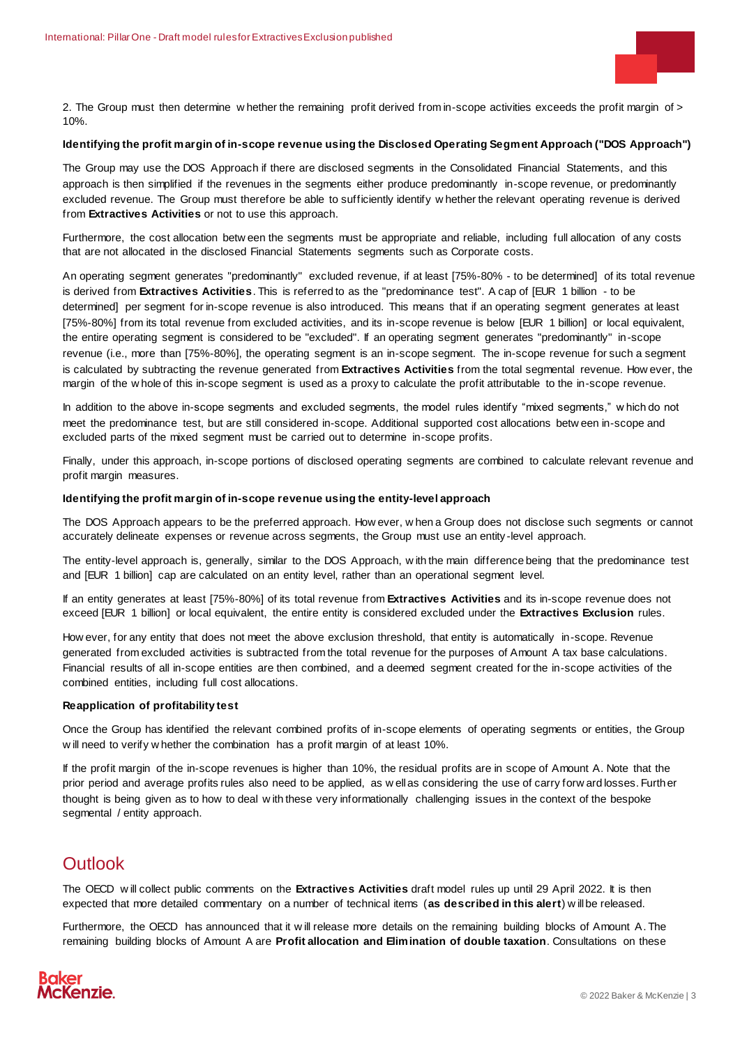

2. The Group must then determine w hether the remaining profit derived from in-scope activities exceeds the profit margin of > 10%.

#### **Identifying the profit margin of in-scope revenue using the Disclosed Operating Segment Approach ("DOS Approach")**

The Group may use the DOS Approach if there are disclosed segments in the Consolidated Financial Statements, and this approach is then simplified if the revenues in the segments either produce predominantly in-scope revenue, or predominantly excluded revenue. The Group must therefore be able to sufficiently identify w hether the relevant operating revenue is derived from **Extractives Activities** or not to use this approach.

Furthermore, the cost allocation betw een the segments must be appropriate and reliable, including full allocation of any costs that are not allocated in the disclosed Financial Statements segments such as Corporate costs.

An operating segment generates "predominantly" excluded revenue, if at least [75%-80% - to be determined] of its total revenue is derived from **Extractives Activities**. This is referred to as the "predominance test". A cap of [EUR 1 billion - to be determined] per segment for in-scope revenue is also introduced. This means that if an operating segment generates at least [75%-80%] from its total revenue from excluded activities, and its in-scope revenue is below [EUR 1 billion] or local equivalent, the entire operating segment is considered to be "excluded". If an operating segment generates "predominantly" in-scope revenue (i.e., more than [75%-80%], the operating segment is an in-scope segment. The in-scope revenue for such a segment is calculated by subtracting the revenue generated from **Extractives Activities** from the total segmental revenue. How ever, the margin of the w hole of this in-scope segment is used as a proxy to calculate the profit attributable to the in-scope revenue.

In addition to the above in-scope segments and excluded segments, the model rules identify "mixed segments," w hich do not meet the predominance test, but are still considered in-scope. Additional supported cost allocations betw een in-scope and excluded parts of the mixed segment must be carried out to determine in-scope profits.

Finally, under this approach, in-scope portions of disclosed operating segments are combined to calculate relevant revenue and profit margin measures.

#### **Identifying the profit margin of in-scope revenue using the entity-level approach**

The DOS Approach appears to be the preferred approach. How ever, w hen a Group does not disclose such segments or cannot accurately delineate expenses or revenue across segments, the Group must use an entity -level approach.

The entity-level approach is, generally, similar to the DOS Approach, w ith the main difference being that the predominance test and [EUR 1 billion] cap are calculated on an entity level, rather than an operational segment level.

If an entity generates at least [75%-80%] of its total revenue from **Extractives Activities** and its in-scope revenue does not exceed [EUR 1 billion] or local equivalent, the entire entity is considered excluded under the **Extractives Exclusion** rules.

How ever, for any entity that does not meet the above exclusion threshold, that entity is automatically in-scope. Revenue generated from excluded activities is subtracted from the total revenue for the purposes of Amount A tax base calculations. Financial results of all in-scope entities are then combined, and a deemed segment created for the in-scope activities of the combined entities, including full cost allocations.

#### **Reapplication of profitability test**

Once the Group has identified the relevant combined profits of in-scope elements of operating segments or entities, the Group w ill need to verify w hether the combination has a profit margin of at least 10%.

If the profit margin of the in-scope revenues is higher than 10%, the residual profits are in scope of Amount A. Note that the prior period and average profits rules also need to be applied, as w ell as considering the use of carry forw ard losses. Further thought is being given as to how to deal w ith these very informationally challenging issues in the context of the bespoke segmental / entity approach.

## **Outlook**

The OECD w ill collect public comments on the **Extractives Activities** draft model rules up until 29 April 2022. It is then expected that more detailed commentary on a number of technical items (**as described in this alert**) w ill be released.

Furthermore, the OECD has announced that it w ill release more details on the remaining building blocks of Amount A. The remaining building blocks of Amount A are **Profit allocation and Elimination of double taxation**. Consultations on these